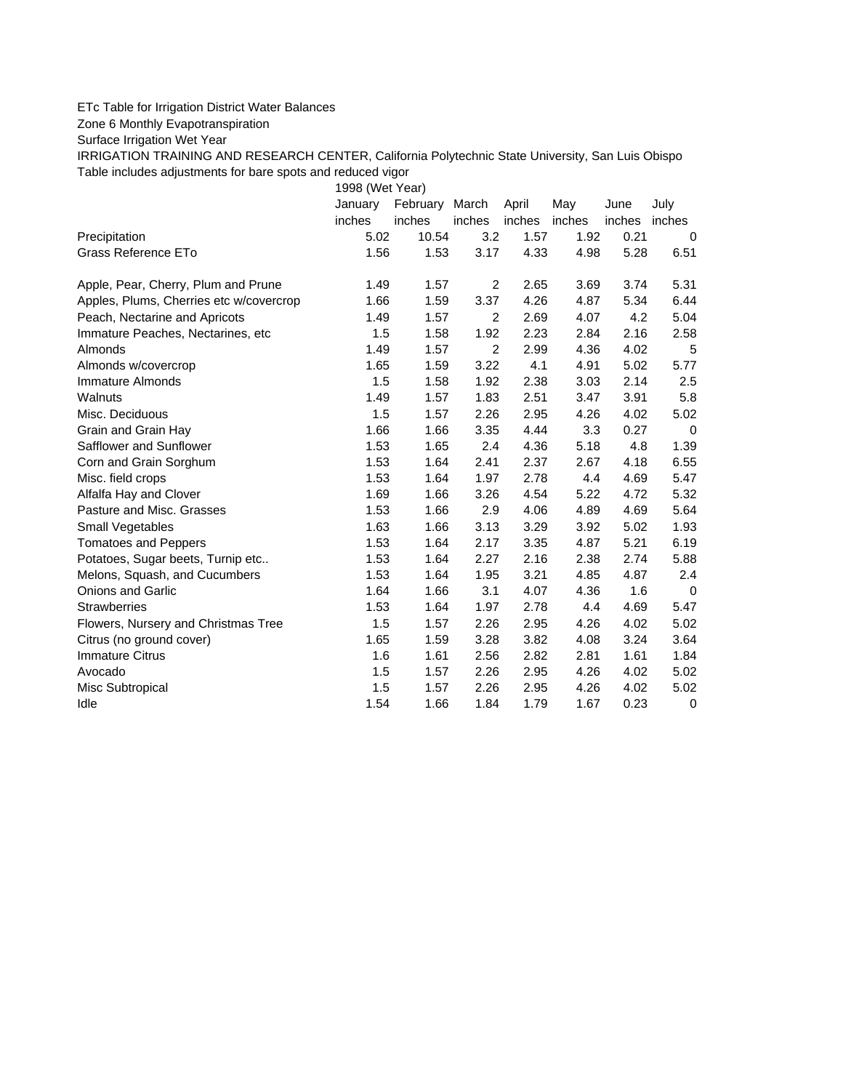## ETc Table for Irrigation District Water Balances

Zone 6 Monthly Evapotranspiration

Surface Irrigation Wet Year

IRRIGATION TRAINING AND RESEARCH CENTER, California Polytechnic State University, San Luis Obispo Table includes adjustments for bare spots and reduced vigor

1998 (Wet Year)

|                                         | January | February | March  | April  | May    | June   | July        |
|-----------------------------------------|---------|----------|--------|--------|--------|--------|-------------|
|                                         | inches  | inches   | inches | inches | inches | inches | inches      |
| Precipitation                           | 5.02    | 10.54    | 3.2    | 1.57   | 1.92   | 0.21   | 0           |
| Grass Reference ETo                     | 1.56    | 1.53     | 3.17   | 4.33   | 4.98   | 5.28   | 6.51        |
| Apple, Pear, Cherry, Plum and Prune     | 1.49    | 1.57     | 2      | 2.65   | 3.69   | 3.74   | 5.31        |
| Apples, Plums, Cherries etc w/covercrop | 1.66    | 1.59     | 3.37   | 4.26   | 4.87   | 5.34   | 6.44        |
| Peach, Nectarine and Apricots           | 1.49    | 1.57     | 2      | 2.69   | 4.07   | 4.2    | 5.04        |
| Immature Peaches, Nectarines, etc       | 1.5     | 1.58     | 1.92   | 2.23   | 2.84   | 2.16   | 2.58        |
| Almonds                                 | 1.49    | 1.57     | 2      | 2.99   | 4.36   | 4.02   | 5           |
| Almonds w/covercrop                     | 1.65    | 1.59     | 3.22   | 4.1    | 4.91   | 5.02   | 5.77        |
| Immature Almonds                        | 1.5     | 1.58     | 1.92   | 2.38   | 3.03   | 2.14   | 2.5         |
| Walnuts                                 | 1.49    | 1.57     | 1.83   | 2.51   | 3.47   | 3.91   | 5.8         |
| Misc. Deciduous                         | 1.5     | 1.57     | 2.26   | 2.95   | 4.26   | 4.02   | 5.02        |
| Grain and Grain Hay                     | 1.66    | 1.66     | 3.35   | 4.44   | 3.3    | 0.27   | 0           |
| Safflower and Sunflower                 | 1.53    | 1.65     | 2.4    | 4.36   | 5.18   | 4.8    | 1.39        |
| Corn and Grain Sorghum                  | 1.53    | 1.64     | 2.41   | 2.37   | 2.67   | 4.18   | 6.55        |
| Misc. field crops                       | 1.53    | 1.64     | 1.97   | 2.78   | 4.4    | 4.69   | 5.47        |
| Alfalfa Hay and Clover                  | 1.69    | 1.66     | 3.26   | 4.54   | 5.22   | 4.72   | 5.32        |
| Pasture and Misc. Grasses               | 1.53    | 1.66     | 2.9    | 4.06   | 4.89   | 4.69   | 5.64        |
| Small Vegetables                        | 1.63    | 1.66     | 3.13   | 3.29   | 3.92   | 5.02   | 1.93        |
| <b>Tomatoes and Peppers</b>             | 1.53    | 1.64     | 2.17   | 3.35   | 4.87   | 5.21   | 6.19        |
| Potatoes, Sugar beets, Turnip etc       | 1.53    | 1.64     | 2.27   | 2.16   | 2.38   | 2.74   | 5.88        |
| Melons, Squash, and Cucumbers           | 1.53    | 1.64     | 1.95   | 3.21   | 4.85   | 4.87   | 2.4         |
| <b>Onions and Garlic</b>                | 1.64    | 1.66     | 3.1    | 4.07   | 4.36   | 1.6    | $\mathbf 0$ |
| <b>Strawberries</b>                     | 1.53    | 1.64     | 1.97   | 2.78   | 4.4    | 4.69   | 5.47        |
| Flowers, Nursery and Christmas Tree     | 1.5     | 1.57     | 2.26   | 2.95   | 4.26   | 4.02   | 5.02        |
| Citrus (no ground cover)                | 1.65    | 1.59     | 3.28   | 3.82   | 4.08   | 3.24   | 3.64        |
| <b>Immature Citrus</b>                  | 1.6     | 1.61     | 2.56   | 2.82   | 2.81   | 1.61   | 1.84        |
| Avocado                                 | 1.5     | 1.57     | 2.26   | 2.95   | 4.26   | 4.02   | 5.02        |
| Misc Subtropical                        | 1.5     | 1.57     | 2.26   | 2.95   | 4.26   | 4.02   | 5.02        |
| Idle                                    | 1.54    | 1.66     | 1.84   | 1.79   | 1.67   | 0.23   | 0           |